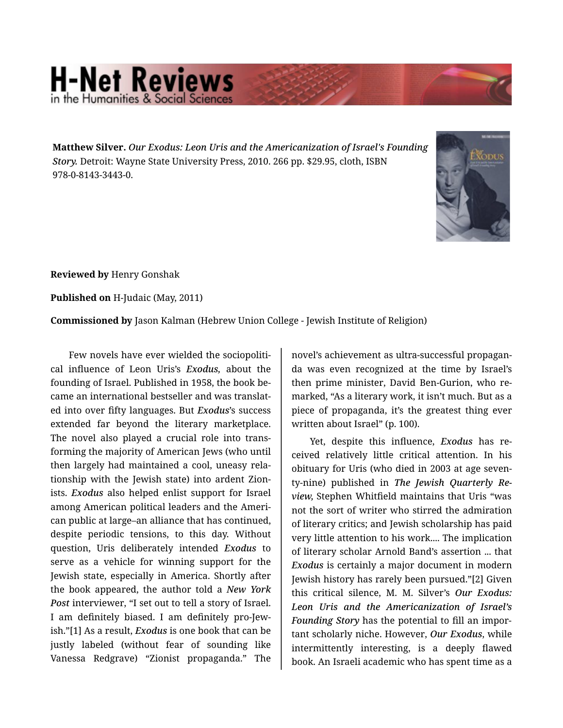## **H-Net Reviews** in the Humanities & Social Scie

**Matthew Silver.** *Our Exodus: Leon Uris and the Americanization of Israel's Founding Story.* Detroit: Wayne State University Press, 2010. 266 pp. \$29.95, cloth, ISBN 978-0-8143-3443-0.



**Reviewed by** Henry Gonshak

**Published on** H-Judaic (May, 2011)

**Commissioned by** Jason Kalman (Hebrew Union College - Jewish Institute of Religion)

Few novels have ever wielded the sociopolitical influence of Leon Uris's *Exodus,* about the founding of Israel. Published in 1958, the book be‐ came an international bestseller and was translat‐ ed into over fifty languages. But *Exodus*'s success extended far beyond the literary marketplace. The novel also played a crucial role into trans‐ forming the majority of American Jews (who until then largely had maintained a cool, uneasy rela‐ tionship with the Jewish state) into ardent Zion‐ ists. *Exodus* also helped enlist support for Israel among American political leaders and the Ameri‐ can public at large–an alliance that has continued, despite periodic tensions, to this day. Without question, Uris deliberately intended *Exodus* to serve as a vehicle for winning support for the Jewish state, especially in America. Shortly after the book appeared, the author told a *New York Post* interviewer, "I set out to tell a story of Israel. I am definitely biased. I am definitely pro-Jew‐ ish."[1] As a result, *Exodus* is one book that can be justly labeled (without fear of sounding like Vanessa Redgrave) "Zionist propaganda." The

novel's achievement as ultra-successful propagan‐ da was even recognized at the time by Israel's then prime minister, David Ben-Gurion, who re‐ marked, "As a literary work, it isn't much. But as a piece of propaganda, it's the greatest thing ever written about Israel" (p. 100).

Yet, despite this influence, *Exodus* has re‐ ceived relatively little critical attention. In his obituary for Uris (who died in 2003 at age seven‐ ty-nine) published in *The Jewish Quarterly Re‐ view,* Stephen Whitfield maintains that Uris "was not the sort of writer who stirred the admiration of literary critics; and Jewish scholarship has paid very little attention to his work.... The implication of literary scholar Arnold Band's assertion ... that *Exodus* is certainly a major document in modern Jewish history has rarely been pursued."[2] Given this critical silence, M. M. Silver's *Our Exodus: Leon Uris and the Americanization of Israel's Founding Story* has the potential to fill an impor‐ tant scholarly niche. However, *Our Exodus*, while intermittently interesting, is a deeply flawed book. An Israeli academic who has spent time as a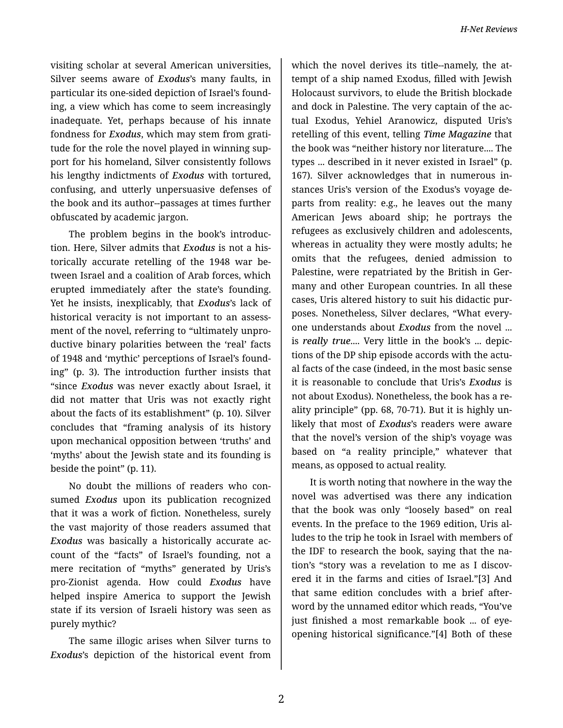visiting scholar at several American universities, Silver seems aware of *Exodus*'s many faults, in particular its one-sided depiction of Israel's found‐ ing, a view which has come to seem increasingly inadequate. Yet, perhaps because of his innate fondness for *Exodus*, which may stem from grati‐ tude for the role the novel played in winning support for his homeland, Silver consistently follows his lengthy indictments of *Exodus* with tortured, confusing, and utterly unpersuasive defenses of the book and its author--passages at times further obfuscated by academic jargon.

The problem begins in the book's introduc‐ tion. Here, Silver admits that *Exodus* is not a his‐ torically accurate retelling of the 1948 war be‐ tween Israel and a coalition of Arab forces, which erupted immediately after the state's founding. Yet he insists, inexplicably, that *Exodus*'s lack of historical veracity is not important to an assess‐ ment of the novel, referring to "ultimately unpro‐ ductive binary polarities between the 'real' facts of 1948 and 'mythic' perceptions of Israel's found‐ ing" (p. 3). The introduction further insists that "since *Exodus* was never exactly about Israel, it did not matter that Uris was not exactly right about the facts of its establishment" (p. 10). Silver concludes that "framing analysis of its history upon mechanical opposition between 'truths' and 'myths' about the Jewish state and its founding is beside the point" (p. 11).

No doubt the millions of readers who con‐ sumed *Exodus* upon its publication recognized that it was a work of fiction. Nonetheless, surely the vast majority of those readers assumed that *Exodus* was basically a historically accurate ac‐ count of the "facts" of Israel's founding, not a mere recitation of "myths" generated by Uris's pro-Zionist agenda. How could *Exodus* have helped inspire America to support the Jewish state if its version of Israeli history was seen as purely mythic?

The same illogic arises when Silver turns to *Exodus*'s depiction of the historical event from

which the novel derives its title--namely, the attempt of a ship named Exodus, filled with Jewish Holocaust survivors, to elude the British blockade and dock in Palestine. The very captain of the ac‐ tual Exodus, Yehiel Aranowicz, disputed Uris's retelling of this event, telling *Time Magazine* that the book was "neither history nor literature.... The types ... described in it never existed in Israel" (p. 167). Silver acknowledges that in numerous in‐ stances Uris's version of the Exodus's voyage de‐ parts from reality: e.g., he leaves out the many American Jews aboard ship; he portrays the refugees as exclusively children and adolescents, whereas in actuality they were mostly adults; he omits that the refugees, denied admission to Palestine, were repatriated by the British in Ger‐ many and other European countries. In all these cases, Uris altered history to suit his didactic pur‐ poses. Nonetheless, Silver declares, "What every‐ one understands about *Exodus* from the novel ... is *really true*.... Very little in the book's ... depic‐ tions of the DP ship episode accords with the actu‐ al facts of the case (indeed, in the most basic sense it is reasonable to conclude that Uris's *Exodus* is not about Exodus). Nonetheless, the book has a re‐ ality principle" (pp. 68, 70-71). But it is highly un‐ likely that most of *Exodus*'s readers were aware that the novel's version of the ship's voyage was based on "a reality principle," whatever that means, as opposed to actual reality.

It is worth noting that nowhere in the way the novel was advertised was there any indication that the book was only "loosely based" on real events. In the preface to the 1969 edition, Uris al‐ ludes to the trip he took in Israel with members of the IDF to research the book, saying that the na‐ tion's "story was a revelation to me as I discov‐ ered it in the farms and cities of Israel."[3] And that same edition concludes with a brief after‐ word by the unnamed editor which reads, "You've just finished a most remarkable book ... of eyeopening historical significance."[4] Both of these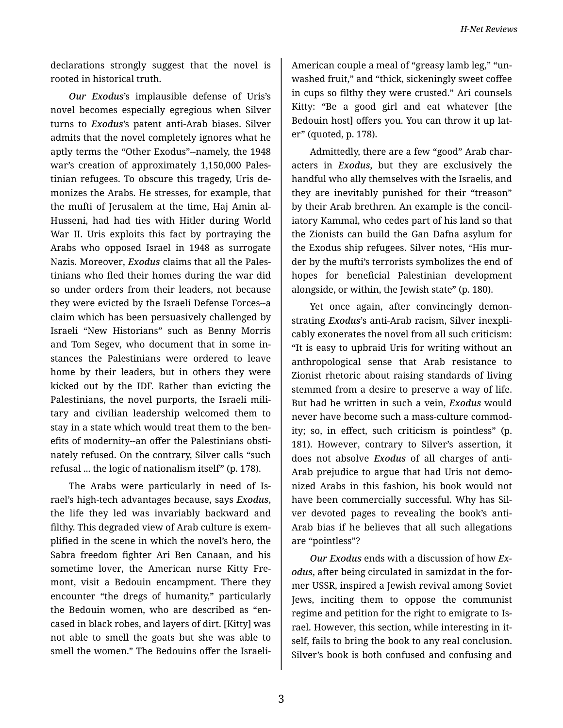*H-Net Reviews*

declarations strongly suggest that the novel is rooted in historical truth.

*Our Exodus*'s implausible defense of Uris's novel becomes especially egregious when Silver turns to *Exodus*'s patent anti-Arab biases. Silver admits that the novel completely ignores what he aptly terms the "Other Exodus"--namely, the 1948 war's creation of approximately 1,150,000 Pales‐ tinian refugees. To obscure this tragedy, Uris de‐ monizes the Arabs. He stresses, for example, that the mufti of Jerusalem at the time, Haj Amin al-Husseni, had had ties with Hitler during World War II. Uris exploits this fact by portraying the Arabs who opposed Israel in 1948 as surrogate Nazis. Moreover, *Exodus* claims that all the Pales‐ tinians who fled their homes during the war did so under orders from their leaders, not because they were evicted by the Israeli Defense Forces--a claim which has been persuasively challenged by Israeli "New Historians" such as Benny Morris and Tom Segev, who document that in some in‐ stances the Palestinians were ordered to leave home by their leaders, but in others they were kicked out by the IDF. Rather than evicting the Palestinians, the novel purports, the Israeli mili‐ tary and civilian leadership welcomed them to stay in a state which would treat them to the ben‐ efits of modernity--an offer the Palestinians obsti‐ nately refused. On the contrary, Silver calls "such refusal ... the logic of nationalism itself" (p. 178).

The Arabs were particularly in need of Is‐ rael's high-tech advantages because, says *Exodus*, the life they led was invariably backward and filthy. This degraded view of Arab culture is exem‐ plified in the scene in which the novel's hero, the Sabra freedom fighter Ari Ben Canaan, and his sometime lover, the American nurse Kitty Fremont, visit a Bedouin encampment. There they encounter "the dregs of humanity," particularly the Bedouin women, who are described as "en‐ cased in black robes, and layers of dirt. [Kitty] was not able to smell the goats but she was able to smell the women." The Bedouins offer the Israeli-

American couple a meal of "greasy lamb leg," "un‐ washed fruit," and "thick, sickeningly sweet coffee in cups so filthy they were crusted." Ari counsels Kitty: "Be a good girl and eat whatever [the Bedouin host] offers you. You can throw it up lat‐ er" (quoted, p. 178).

Admittedly, there are a few "good" Arab char‐ acters in *Exodus*, but they are exclusively the handful who ally themselves with the Israelis, and they are inevitably punished for their "treason" by their Arab brethren. An example is the concil‐ iatory Kammal, who cedes part of his land so that the Zionists can build the Gan Dafna asylum for the Exodus ship refugees. Silver notes, "His mur‐ der by the mufti's terrorists symbolizes the end of hopes for beneficial Palestinian development alongside, or within, the Jewish state" (p. 180).

Yet once again, after convincingly demon‐ strating *Exodus*'s anti-Arab racism, Silver inexpli‐ cably exonerates the novel from all such criticism: "It is easy to upbraid Uris for writing without an anthropological sense that Arab resistance to Zionist rhetoric about raising standards of living stemmed from a desire to preserve a way of life. But had he written in such a vein, *Exodus* would never have become such a mass-culture commod‐ ity; so, in effect, such criticism is pointless" (p. 181). However, contrary to Silver's assertion, it does not absolve *Exodus* of all charges of anti-Arab prejudice to argue that had Uris not demo‐ nized Arabs in this fashion, his book would not have been commercially successful. Why has Sil‐ ver devoted pages to revealing the book's anti-Arab bias if he believes that all such allegations are "pointless"?

*Our Exodus* ends with a discussion of how *Ex‐ odus*, after being circulated in samizdat in the for‐ mer USSR, inspired a Jewish revival among Soviet Jews, inciting them to oppose the communist regime and petition for the right to emigrate to Is‐ rael. However, this section, while interesting in it‐ self, fails to bring the book to any real conclusion. Silver's book is both confused and confusing and

3